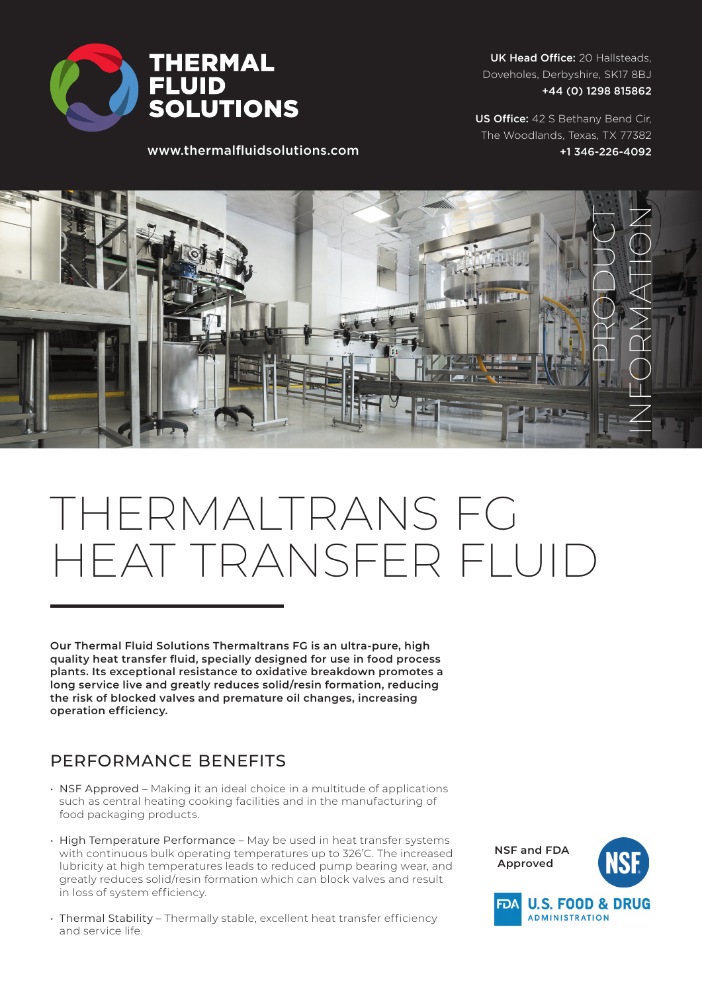

UK Head Office: 20 Hallsteads, Doveholes, Derbyshire, SK17 8BJ +44 (0) 1298 815862

US Office: 42 S Bethany Bend Cir, The Woodlands, Texas, TX 77382 +1 346-226-4092

www.thermalfluidsolutions.com



## THERMALTRANS FG HEAT TRANSFER FLUID

**Our Thermal Fluid Solutions Thermaltrans FG is an ultra-pure, high quality heat transfer fluid, specially designed for use in food process plants. Its exceptional resistance to oxidative breakdown promotes a long service live and greatly reduces solid/resin formation, reducing the risk of blocked valves and premature oil changes, increasing operation efficiency.**

## PERFORMANCE BENEFITS

- NSF Approved Making it an ideal choice in a multitude of applications such as central heating cooking facilities and in the manufacturing of food packaging products.
- High Temperature Performance May be used in heat transfer systems with continuous bulk operating temperatures up to 326'C. The increased lubricity at high temperatures leads to reduced pump bearing wear, and greatly reduces solid/resin formation which can block valves and result in loss of system efficiency.
- Thermal Stability Thermally stable, excellent heat transfer efficiency and service life.

**NSF and FDA Approved**